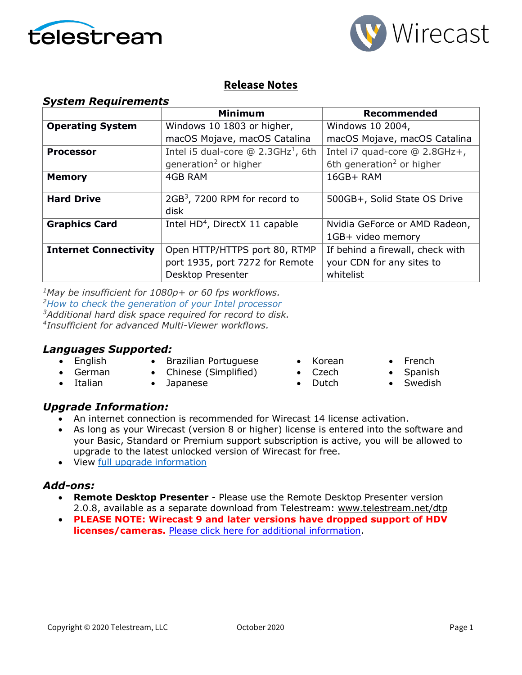



### **Release Notes**

|  | <b>System Requirements</b> |
|--|----------------------------|
|--|----------------------------|

|                              | <b>Minimum</b>                                    | Recommended                           |
|------------------------------|---------------------------------------------------|---------------------------------------|
| <b>Operating System</b>      | Windows 10 1803 or higher,                        | Windows 10 2004,                      |
|                              | macOS Mojave, macOS Catalina                      | macOS Mojave, macOS Catalina          |
| <b>Processor</b>             | Intel i5 dual-core $@$ 2.3GHz <sup>1</sup> , 6th  | Intel i7 quad-core @ 2.8GHz+,         |
|                              | generation <sup>2</sup> or higher                 | 6th generation <sup>2</sup> or higher |
| <b>Memory</b>                | 4GB RAM                                           | 16GB+RAM                              |
| <b>Hard Drive</b>            | 2GB <sup>3</sup> , 7200 RPM for record to<br>disk | 500GB+, Solid State OS Drive          |
| <b>Graphics Card</b>         | Intel $HD4$ , DirectX 11 capable                  | Nvidia GeForce or AMD Radeon,         |
|                              |                                                   | 1GB+ video memory                     |
| <b>Internet Connectivity</b> | Open HTTP/HTTPS port 80, RTMP                     | If behind a firewall, check with      |
|                              | port 1935, port 7272 for Remote                   | your CDN for any sites to             |
|                              | Desktop Presenter                                 | whitelist                             |

*1May be insufficient for 1080p+ or 60 fps workflows. [2How to check the generation](http://www.telestream.net/telestream-support/wire-cast/faq.htm?kbURL=http://telestream.force.com/kb/articles/Knowledge_Article/Wirecast-How-to-check-the-generation-of-your-Intel-processor/) of your Intel processor 3Additional hard disk space required for record to disk. 4Insufficient for advanced Multi-Viewer workflows.*

### *Languages Supported:*

• English • German

• Italian

- Brazilian Portuguese
- Chinese (Simplified)
- Japanese
- Korean • Czech
- 
- Dutch
- French • Spanish
- **Swedish**

### *Upgrade Information:*

- An internet connection is recommended for Wirecast 14 license activation.
- As long as your Wirecast (version 8 or higher) license is entered into the software and your Basic, Standard or Premium support subscription is active, you will be allowed to upgrade to the latest unlocked version of Wirecast for free.
- View [full upgrade information](http://www.telestream.net/wirecast/upgrade.htm#upgrade)

### *Add-ons:*

- **Remote Desktop Presenter**  Please use the Remote Desktop Presenter version 2.0.8, available as a separate download from Telestream: [www.telestream.net/dtp](http://www.telestream.net/dtp)
- **PLEASE NOTE: Wirecast 9 and later versions have dropped support of HDV licenses/cameras.** [Please click here for additional information.](http://www.telestream.net/telestream-support/wire-cast/faq.htm?kbURL=http://telestream.force.com/kb/articles/Knowledge_Article/Wirecast-HDV-Firewire-No-longer-Supported/)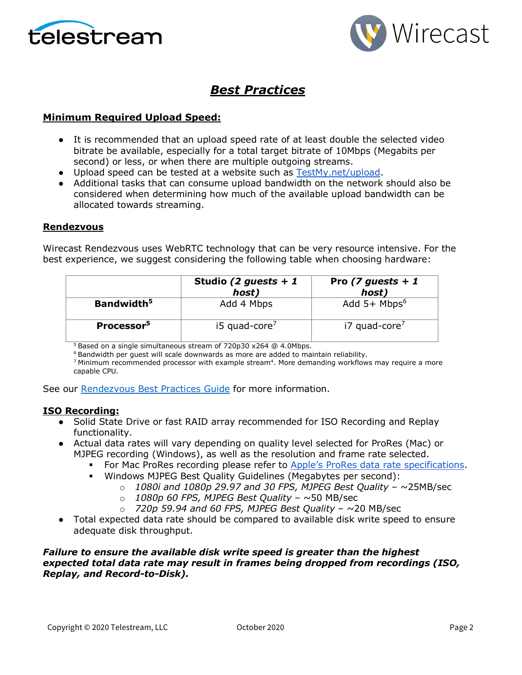



## *Best Practices*

#### **Minimum Required Upload Speed:**

- It is recommended that an upload speed rate of at least double the selected video bitrate be available, especially for a total target bitrate of 10Mbps (Megabits per second) or less, or when there are multiple outgoing streams.
- Upload speed can be tested at a website such as [TestMy.net/upload.](http://testmy.net/upload)
- Additional tasks that can consume upload bandwidth on the network should also be considered when determining how much of the available upload bandwidth can be allocated towards streaming.

#### **Rendezvous**

Wirecast Rendezvous uses WebRTC technology that can be very resource intensive. For the best experience, we suggest considering the following table when choosing hardware:

|                        | Studio (2 guests + 1<br>host) | Pro (7 guests + 1<br>host)  |
|------------------------|-------------------------------|-----------------------------|
| Bandwidth <sup>5</sup> | Add 4 Mbps                    | Add $5+$ Mbps <sup>6</sup>  |
| Processor <sup>5</sup> | $15$ quad-core <sup>7</sup>   | $i7$ quad-core <sup>7</sup> |

<sup>5</sup> Based on a single simultaneous stream of 720p30 x264 @ 4.0Mbps.

<sup>6</sup> Bandwidth per guest will scale downwards as more are added to maintain reliability.

 $7$  Minimum recommended processor with example stream $4$ . More demanding workflows may require a more capable CPU.

See our [Rendezvous Best Practices Guide](http://www.telestream.net/pdfs/technical/Wirecast-Rendezvous-Best-Practices-Guide.pdf) for more information.

#### **ISO Recording:**

- Solid State Drive or fast RAID array recommended for ISO Recording and Replay functionality.
- Actual data rates will vary depending on quality level selected for ProRes (Mac) or MJPEG recording (Windows), as well as the resolution and frame rate selected.
	- For Mac ProRes recording please refer to [Apple's ProRes data rate specifications.](https://en.wikipedia.org/wiki/Apple_ProRes#ProRes-Overview)
	- Windows MJPEG Best Quality Guidelines (Megabytes per second):
		- o *1080i and 1080p 29.97 and 30 FPS, MJPEG Best Quality* ~25MB/sec
		- o *1080p 60 FPS, MJPEG Best Quality* ~50 MB/sec
		- o *720p 59.94 and 60 FPS, MJPEG Best Quality* ~20 MB/sec
- Total expected data rate should be compared to available disk write speed to ensure adequate disk throughput.

#### *Failure to ensure the available disk write speed is greater than the highest expected total data rate may result in frames being dropped from recordings (ISO, Replay, and Record-to-Disk).*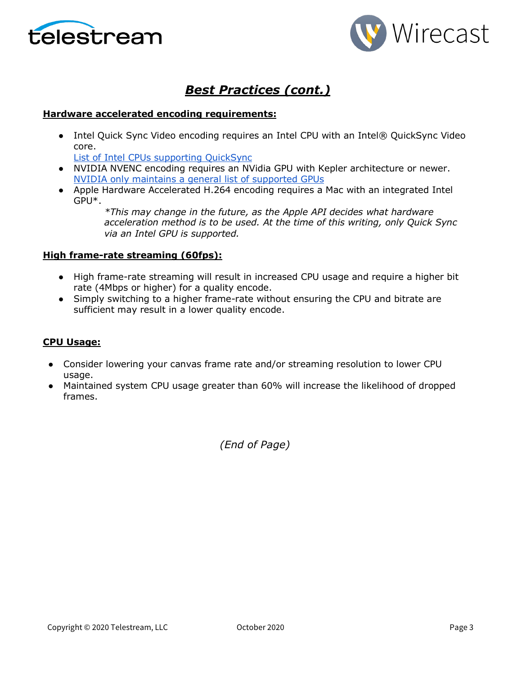



## *Best Practices (cont.)*

#### **Hardware accelerated encoding requirements:**

• Intel Quick Sync Video encoding requires an Intel CPU with an Intel® QuickSync Video core[.](http://ark.intel.com/search/advanced?QuickSyncVideo=true&MarketSegment=DT)

[List of Intel CPUs supporting QuickSync](https://ark.intel.com/content/www/us/en/ark/search/featurefilter.html?productType=873&0_QuickSyncVideo=True)

- NVIDIA NVENC encoding requires an NVidia GPU with Kepler architecture or newer[.](https://developer.nvidia.com/nvidia-video-codec-sdk) [NVIDIA only maintains a general list of supported GPUs](https://developer.nvidia.com/nvidia-video-codec-sdk)
- Apple Hardware Accelerated H.264 encoding requires a Mac with an integrated Intel GPU\*.

*\*This may change in the future, as the Apple API decides what hardware acceleration method is to be used. At the time of this writing, only Quick Sync via an Intel GPU is supported.*

#### **High frame-rate streaming (60fps):**

- High frame-rate streaming will result in increased CPU usage and require a higher bit rate (4Mbps or higher) for a quality encode.
- Simply switching to a higher frame-rate without ensuring the CPU and bitrate are sufficient may result in a lower quality encode.

#### **CPU Usage:**

- Consider lowering your canvas frame rate and/or streaming resolution to lower CPU usage.
- Maintained system CPU usage greater than 60% will increase the likelihood of dropped frames.

*(End of Page)*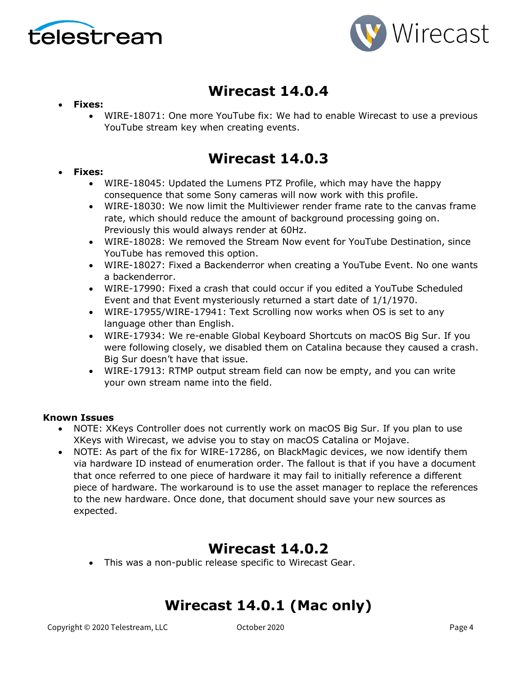



# **Wirecast 14.0.4**

#### • **Fixes:**

• WIRE-18071: One more YouTube fix: We had to enable Wirecast to use a previous YouTube stream key when creating events.

## **Wirecast 14.0.3**

#### • **Fixes:**

- WIRE-18045: Updated the Lumens PTZ Profile, which may have the happy consequence that some Sony cameras will now work with this profile.
- WIRE-18030: We now limit the Multiviewer render frame rate to the canvas frame rate, which should reduce the amount of background processing going on. Previously this would always render at 60Hz.
- WIRE-18028: We removed the Stream Now event for YouTube Destination, since YouTube has removed this option.
- WIRE-18027: Fixed a Backenderror when creating a YouTube Event. No one wants a backenderror.
- WIRE-17990: Fixed a crash that could occur if you edited a YouTube Scheduled Event and that Event mysteriously returned a start date of 1/1/1970.
- WIRE-17955/WIRE-17941: Text Scrolling now works when OS is set to any language other than English.
- WIRE-17934: We re-enable Global Keyboard Shortcuts on macOS Big Sur. If you were following closely, we disabled them on Catalina because they caused a crash. Big Sur doesn't have that issue.
- WIRE-17913: RTMP output stream field can now be empty, and you can write your own stream name into the field.

#### **Known Issues**

- NOTE: XKeys Controller does not currently work on macOS Big Sur. If you plan to use XKeys with Wirecast, we advise you to stay on macOS Catalina or Mojave.
- NOTE: As part of the fix for WIRE-17286, on BlackMagic devices, we now identify them via hardware ID instead of enumeration order. The fallout is that if you have a document that once referred to one piece of hardware it may fail to initially reference a different piece of hardware. The workaround is to use the asset manager to replace the references to the new hardware. Once done, that document should save your new sources as expected.

# **Wirecast 14.0.2**

• This was a non-public release specific to Wirecast Gear.

# **Wirecast 14.0.1 (Mac only)**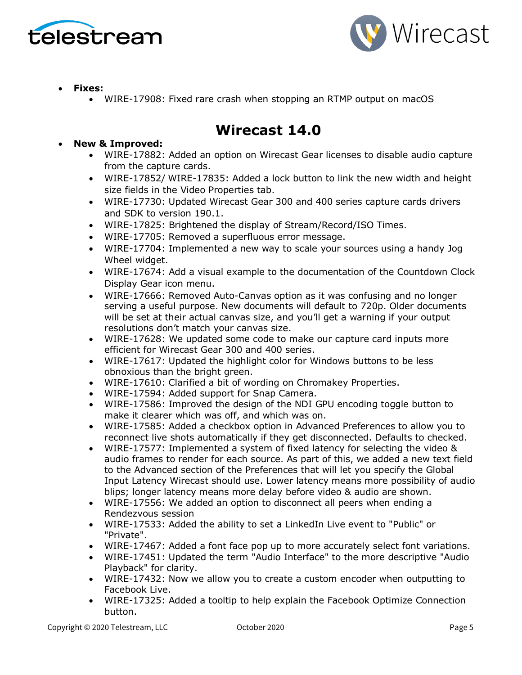



- **Fixes:**
	- WIRE-17908: Fixed rare crash when stopping an RTMP output on macOS

## **Wirecast 14.0**

- **New & Improved:**
	- WIRE-17882: Added an option on Wirecast Gear licenses to disable audio capture from the capture cards.
	- WIRE-17852/ WIRE-17835: Added a lock button to link the new width and height size fields in the Video Properties tab.
	- WIRE-17730: Updated Wirecast Gear 300 and 400 series capture cards drivers and SDK to version 190.1.
	- WIRE-17825: Brightened the display of Stream/Record/ISO Times.
	- WIRE-17705: Removed a superfluous error message.
	- WIRE-17704: Implemented a new way to scale your sources using a handy Jog Wheel widget.
	- WIRE-17674: Add a visual example to the documentation of the Countdown Clock Display Gear icon menu.
	- WIRE-17666: Removed Auto-Canvas option as it was confusing and no longer serving a useful purpose. New documents will default to 720p. Older documents will be set at their actual canvas size, and you'll get a warning if your output resolutions don't match your canvas size.
	- WIRE-17628: We updated some code to make our capture card inputs more efficient for Wirecast Gear 300 and 400 series.
	- WIRE-17617: Updated the highlight color for Windows buttons to be less obnoxious than the bright green.
	- WIRE-17610: Clarified a bit of wording on Chromakey Properties.
	- WIRE-17594: Added support for Snap Camera.
	- WIRE-17586: Improved the design of the NDI GPU encoding toggle button to make it clearer which was off, and which was on.
	- WIRE-17585: Added a checkbox option in Advanced Preferences to allow you to reconnect live shots automatically if they get disconnected. Defaults to checked.
	- WIRE-17577: Implemented a system of fixed latency for selecting the video & audio frames to render for each source. As part of this, we added a new text field to the Advanced section of the Preferences that will let you specify the Global Input Latency Wirecast should use. Lower latency means more possibility of audio blips; longer latency means more delay before video & audio are shown.
	- WIRE-17556: We added an option to disconnect all peers when ending a Rendezvous session
	- WIRE-17533: Added the ability to set a LinkedIn Live event to "Public" or "Private".
	- WIRE-17467: Added a font face pop up to more accurately select font variations.
	- WIRE-17451: Updated the term "Audio Interface" to the more descriptive "Audio Playback" for clarity.
	- WIRE-17432: Now we allow you to create a custom encoder when outputting to Facebook Live.
	- WIRE-17325: Added a tooltip to help explain the Facebook Optimize Connection button.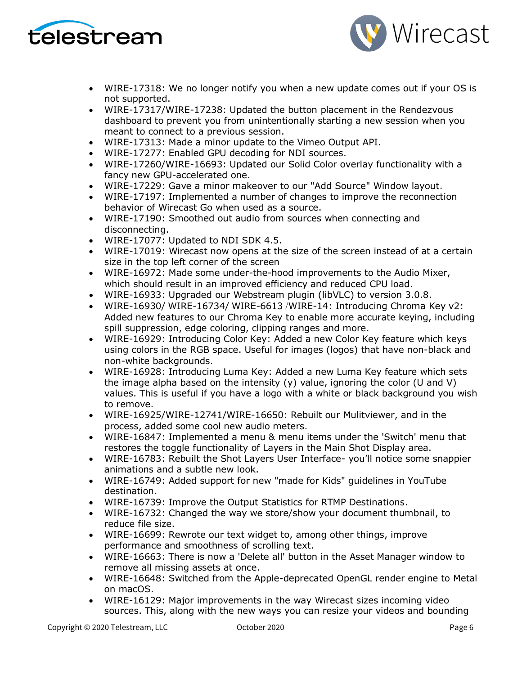



- WIRE-17318: We no longer notify you when a new update comes out if your OS is not supported.
- WIRE-17317/WIRE-17238: Updated the button placement in the Rendezvous dashboard to prevent you from unintentionally starting a new session when you meant to connect to a previous session.
- WIRE-17313: Made a minor update to the Vimeo Output API.
- WIRE-17277: Enabled GPU decoding for NDI sources.
- WIRE-17260/WIRE-16693: Updated our Solid Color overlay functionality with a fancy new GPU-accelerated one.
- WIRE-17229: Gave a minor makeover to our "Add Source" Window layout.
- WIRE-17197: Implemented a number of changes to improve the reconnection behavior of Wirecast Go when used as a source.
- WIRE-17190: Smoothed out audio from sources when connecting and disconnecting.
- WIRE-17077: Updated to NDI SDK 4.5.
- WIRE-17019: Wirecast now opens at the size of the screen instead of at a certain size in the top left corner of the screen
- WIRE-16972: Made some under-the-hood improvements to the Audio Mixer, which should result in an improved efficiency and reduced CPU load.
- WIRE-16933: Upgraded our Webstream plugin (libVLC) to version 3.0.8.
- WIRE-16930/ WIRE-16734/ WIRE-6613 /WIRE-14: Introducing Chroma Key v2: Added new features to our Chroma Key to enable more accurate keying, including spill suppression, edge coloring, clipping ranges and more.
- WIRE-16929: Introducing Color Key: Added a new Color Key feature which keys using colors in the RGB space. Useful for images (logos) that have non-black and non-white backgrounds.
- WIRE-16928: Introducing Luma Key: Added a new Luma Key feature which sets the image alpha based on the intensity  $(y)$  value, ignoring the color (U and V) values. This is useful if you have a logo with a white or black background you wish to remove.
- WIRE-16925/WIRE-12741/WIRE-16650: Rebuilt our Mulitviewer, and in the process, added some cool new audio meters.
- WIRE-16847: Implemented a menu & menu items under the 'Switch' menu that restores the toggle functionality of Layers in the Main Shot Display area.
- WIRE-16783: Rebuilt the Shot Layers User Interface- you'll notice some snappier animations and a subtle new look.
- WIRE-16749: Added support for new "made for Kids" guidelines in YouTube destination.
- WIRE-16739: Improve the Output Statistics for RTMP Destinations.
- WIRE-16732: Changed the way we store/show your document thumbnail, to reduce file size.
- WIRE-16699: Rewrote our text widget to, among other things, improve performance and smoothness of scrolling text.
- WIRE-16663: There is now a 'Delete all' button in the Asset Manager window to remove all missing assets at once.
- WIRE-16648: Switched from the Apple-deprecated OpenGL render engine to Metal on macOS.
- WIRE-16129: Major improvements in the way Wirecast sizes incoming video sources. This, along with the new ways you can resize your videos and bounding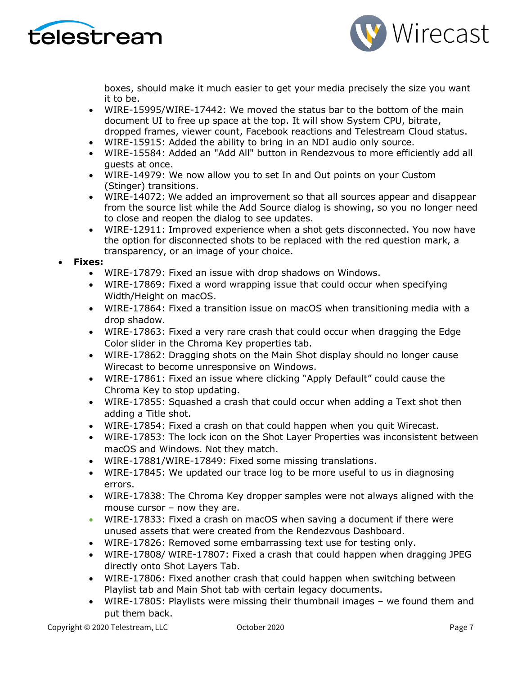



boxes, should make it much easier to get your media precisely the size you want it to be.

- WIRE-15995/WIRE-17442: We moved the status bar to the bottom of the main document UI to free up space at the top. It will show System CPU, bitrate, dropped frames, viewer count, Facebook reactions and Telestream Cloud status.
- WIRE-15915: Added the ability to bring in an NDI audio only source.
- WIRE-15584: Added an "Add All" button in Rendezvous to more efficiently add all guests at once.
- WIRE-14979: We now allow you to set In and Out points on your Custom (Stinger) transitions.
- WIRE-14072: We added an improvement so that all sources appear and disappear from the source list while the Add Source dialog is showing, so you no longer need to close and reopen the dialog to see updates.
- WIRE-12911: Improved experience when a shot gets disconnected. You now have the option for disconnected shots to be replaced with the red question mark, a transparency, or an image of your choice.

#### • **Fixes:**

- WIRE-17879: Fixed an issue with drop shadows on Windows.
- WIRE-17869: Fixed a word wrapping issue that could occur when specifying Width/Height on macOS.
- WIRE-17864: Fixed a transition issue on macOS when transitioning media with a drop shadow.
- WIRE-17863: Fixed a very rare crash that could occur when dragging the Edge Color slider in the Chroma Key properties tab.
- WIRE-17862: Dragging shots on the Main Shot display should no longer cause Wirecast to become unresponsive on Windows.
- WIRE-17861: Fixed an issue where clicking "Apply Default" could cause the Chroma Key to stop updating.
- WIRE-17855: Squashed a crash that could occur when adding a Text shot then adding a Title shot.
- WIRE-17854: Fixed a crash on that could happen when you quit Wirecast.
- WIRE-17853: The lock icon on the Shot Layer Properties was inconsistent between macOS and Windows. Not they match.
- WIRE-17881/WIRE-17849: Fixed some missing translations.
- WIRE-17845: We updated our trace log to be more useful to us in diagnosing errors.
- WIRE-17838: The Chroma Key dropper samples were not always aligned with the mouse cursor – now they are.
- WIRE-17833: Fixed a crash on macOS when saving a document if there were unused assets that were created from the Rendezvous Dashboard.
- WIRE-17826: Removed some embarrassing text use for testing only.
- WIRE-17808/ WIRE-17807: Fixed a crash that could happen when dragging JPEG directly onto Shot Layers Tab.
- WIRE-17806: Fixed another crash that could happen when switching between Playlist tab and Main Shot tab with certain legacy documents.
- WIRE-17805: Playlists were missing their thumbnail images we found them and put them back.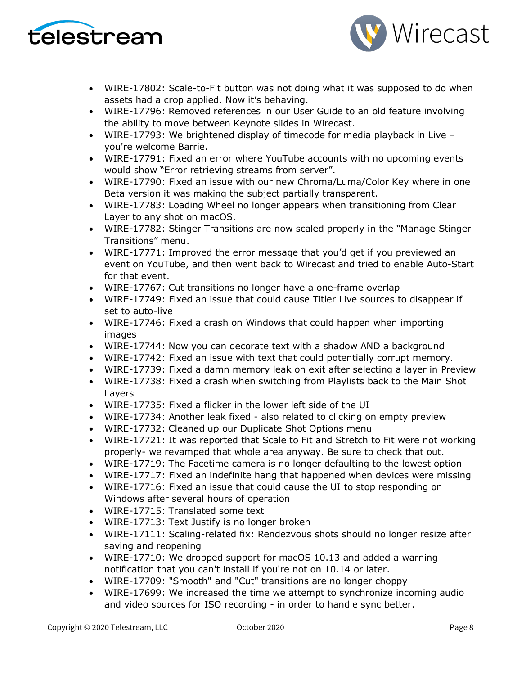



- WIRE-17802: Scale-to-Fit button was not doing what it was supposed to do when assets had a crop applied. Now it's behaving.
- WIRE-17796: Removed references in our User Guide to an old feature involving the ability to move between Keynote slides in Wirecast.
- WIRE-17793: We brightened display of timecode for media playback in Live you're welcome Barrie.
- WIRE-17791: Fixed an error where YouTube accounts with no upcoming events would show "Error retrieving streams from server".
- WIRE-17790: Fixed an issue with our new Chroma/Luma/Color Key where in one Beta version it was making the subject partially transparent.
- WIRE-17783: Loading Wheel no longer appears when transitioning from Clear Layer to any shot on macOS.
- WIRE-17782: Stinger Transitions are now scaled properly in the "Manage Stinger Transitions" menu.
- WIRE-17771: Improved the error message that you'd get if you previewed an event on YouTube, and then went back to Wirecast and tried to enable Auto-Start for that event.
- WIRE-17767: Cut transitions no longer have a one-frame overlap
- WIRE-17749: Fixed an issue that could cause Titler Live sources to disappear if set to auto-live
- WIRE-17746: Fixed a crash on Windows that could happen when importing images
- WIRE-17744: Now you can decorate text with a shadow AND a background
- WIRE-17742: Fixed an issue with text that could potentially corrupt memory.
- WIRE-17739: Fixed a damn memory leak on exit after selecting a layer in Preview
- WIRE-17738: Fixed a crash when switching from Playlists back to the Main Shot Layers
- WIRE-17735: Fixed a flicker in the lower left side of the UI
- WIRE-17734: Another leak fixed also related to clicking on empty preview
- WIRE-17732: Cleaned up our Duplicate Shot Options menu
- WIRE-17721: It was reported that Scale to Fit and Stretch to Fit were not working properly- we revamped that whole area anyway. Be sure to check that out.
- WIRE-17719: The Facetime camera is no longer defaulting to the lowest option
- WIRE-17717: Fixed an indefinite hang that happened when devices were missing
- WIRE-17716: Fixed an issue that could cause the UI to stop responding on Windows after several hours of operation
- WIRE-17715: Translated some text
- WIRE-17713: Text Justify is no longer broken
- WIRE-17111: Scaling-related fix: Rendezvous shots should no longer resize after saving and reopening
- WIRE-17710: We dropped support for macOS 10.13 and added a warning notification that you can't install if you're not on 10.14 or later.
- WIRE-17709: "Smooth" and "Cut" transitions are no longer choppy
- WIRE-17699: We increased the time we attempt to synchronize incoming audio and video sources for ISO recording - in order to handle sync better.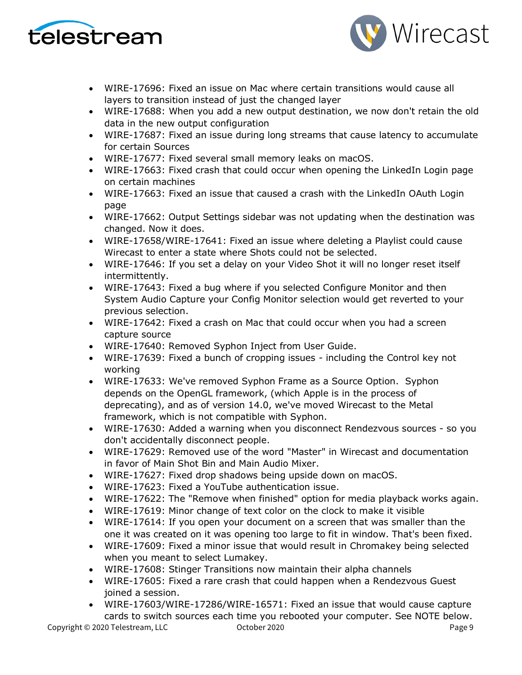



- WIRE-17696: Fixed an issue on Mac where certain transitions would cause all layers to transition instead of just the changed layer
- WIRE-17688: When you add a new output destination, we now don't retain the old data in the new output configuration
- WIRE-17687: Fixed an issue during long streams that cause latency to accumulate for certain Sources
- WIRE-17677: Fixed several small memory leaks on macOS.
- WIRE-17663: Fixed crash that could occur when opening the LinkedIn Login page on certain machines
- WIRE-17663: Fixed an issue that caused a crash with the LinkedIn OAuth Login page
- WIRE-17662: Output Settings sidebar was not updating when the destination was changed. Now it does.
- WIRE-17658/WIRE-17641: Fixed an issue where deleting a Playlist could cause Wirecast to enter a state where Shots could not be selected.
- WIRE-17646: If you set a delay on your Video Shot it will no longer reset itself intermittently.
- WIRE-17643: Fixed a bug where if you selected Configure Monitor and then System Audio Capture your Config Monitor selection would get reverted to your previous selection.
- WIRE-17642: Fixed a crash on Mac that could occur when you had a screen capture source
- WIRE-17640: Removed Syphon Inject from User Guide.
- WIRE-17639: Fixed a bunch of cropping issues including the Control key not working
- WIRE-17633: We've removed Syphon Frame as a Source Option. Syphon depends on the OpenGL framework, (which Apple is in the process of deprecating), and as of version 14.0, we've moved Wirecast to the Metal framework, which is not compatible with Syphon.
- WIRE-17630: Added a warning when you disconnect Rendezvous sources so you don't accidentally disconnect people.
- WIRE-17629: Removed use of the word "Master" in Wirecast and documentation in favor of Main Shot Bin and Main Audio Mixer.
- WIRE-17627: Fixed drop shadows being upside down on macOS.
- WIRE-17623: Fixed a YouTube authentication issue.
- WIRE-17622: The "Remove when finished" option for media playback works again.
- WIRE-17619: Minor change of text color on the clock to make it visible
- WIRE-17614: If you open your document on a screen that was smaller than the one it was created on it was opening too large to fit in window. That's been fixed.
- WIRE-17609: Fixed a minor issue that would result in Chromakey being selected when you meant to select Lumakey.
- WIRE-17608: Stinger Transitions now maintain their alpha channels
- WIRE-17605: Fixed a rare crash that could happen when a Rendezvous Guest joined a session.
- WIRE-17603/WIRE-17286/WIRE-16571: Fixed an issue that would cause capture cards to switch sources each time you rebooted your computer. See NOTE below.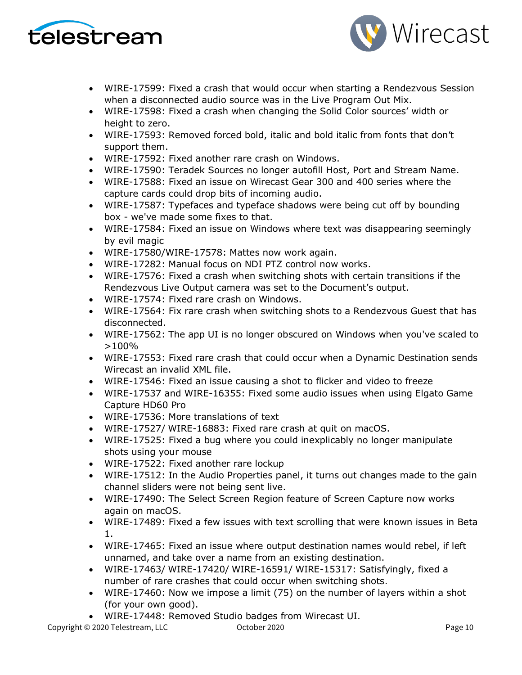



- WIRE-17599: Fixed a crash that would occur when starting a Rendezvous Session when a disconnected audio source was in the Live Program Out Mix.
- WIRE-17598: Fixed a crash when changing the Solid Color sources' width or height to zero.
- WIRE-17593: Removed forced bold, italic and bold italic from fonts that don't support them.
- WIRE-17592: Fixed another rare crash on Windows.
- WIRE-17590: Teradek Sources no longer autofill Host, Port and Stream Name.
- WIRE-17588: Fixed an issue on Wirecast Gear 300 and 400 series where the capture cards could drop bits of incoming audio.
- WIRE-17587: Typefaces and typeface shadows were being cut off by bounding box - we've made some fixes to that.
- WIRE-17584: Fixed an issue on Windows where text was disappearing seemingly by evil magic
- WIRE-17580/WIRE-17578: Mattes now work again.
- WIRE-17282: Manual focus on NDI PTZ control now works.
- WIRE-17576: Fixed a crash when switching shots with certain transitions if the Rendezvous Live Output camera was set to the Document's output.
- WIRE-17574: Fixed rare crash on Windows.
- WIRE-17564: Fix rare crash when switching shots to a Rendezvous Guest that has disconnected.
- WIRE-17562: The app UI is no longer obscured on Windows when you've scaled to >100%
- WIRE-17553: Fixed rare crash that could occur when a Dynamic Destination sends Wirecast an invalid XML file.
- WIRE-17546: Fixed an issue causing a shot to flicker and video to freeze
- WIRE-17537 and WIRE-16355: Fixed some audio issues when using Elgato Game Capture HD60 Pro
- WIRE-17536: More translations of text
- WIRE-17527/ WIRE-16883: Fixed rare crash at quit on macOS.
- WIRE-17525: Fixed a bug where you could inexplicably no longer manipulate shots using your mouse
- WIRE-17522: Fixed another rare lockup
- WIRE-17512: In the Audio Properties panel, it turns out changes made to the gain channel sliders were not being sent live.
- WIRE-17490: The Select Screen Region feature of Screen Capture now works again on macOS.
- WIRE-17489: Fixed a few issues with text scrolling that were known issues in Beta 1.
- WIRE-17465: Fixed an issue where output destination names would rebel, if left unnamed, and take over a name from an existing destination.
- WIRE-17463/ WIRE-17420/ WIRE-16591/ WIRE-15317: Satisfyingly, fixed a number of rare crashes that could occur when switching shots.
- WIRE-17460: Now we impose a limit (75) on the number of layers within a shot (for your own good).
- WIRE-17448: Removed Studio badges from Wirecast UI.

Copyright © 2020 Telestream, LLC October 2020 Page 10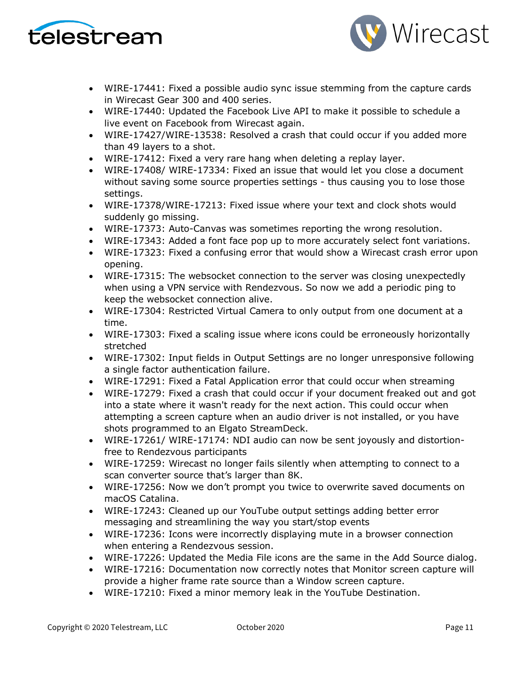



- WIRE-17441: Fixed a possible audio sync issue stemming from the capture cards in Wirecast Gear 300 and 400 series.
- WIRE-17440: Updated the Facebook Live API to make it possible to schedule a live event on Facebook from Wirecast again.
- WIRE-17427/WIRE-13538: Resolved a crash that could occur if you added more than 49 layers to a shot.
- WIRE-17412: Fixed a very rare hang when deleting a replay layer.
- WIRE-17408/ WIRE-17334: Fixed an issue that would let you close a document without saving some source properties settings - thus causing you to lose those settings.
- WIRE-17378/WIRE-17213: Fixed issue where your text and clock shots would suddenly go missing.
- WIRE-17373: Auto-Canvas was sometimes reporting the wrong resolution.
- WIRE-17343: Added a font face pop up to more accurately select font variations.
- WIRE-17323: Fixed a confusing error that would show a Wirecast crash error upon opening.
- WIRE-17315: The websocket connection to the server was closing unexpectedly when using a VPN service with Rendezvous. So now we add a periodic ping to keep the websocket connection alive.
- WIRE-17304: Restricted Virtual Camera to only output from one document at a time.
- WIRE-17303: Fixed a scaling issue where icons could be erroneously horizontally stretched
- WIRE-17302: Input fields in Output Settings are no longer unresponsive following a single factor authentication failure.
- WIRE-17291: Fixed a Fatal Application error that could occur when streaming
- WIRE-17279: Fixed a crash that could occur if your document freaked out and got into a state where it wasn't ready for the next action. This could occur when attempting a screen capture when an audio driver is not installed, or you have shots programmed to an Elgato StreamDeck.
- WIRE-17261/ WIRE-17174: NDI audio can now be sent joyously and distortionfree to Rendezvous participants
- WIRE-17259: Wirecast no longer fails silently when attempting to connect to a scan converter source that's larger than 8K.
- WIRE-17256: Now we don't prompt you twice to overwrite saved documents on macOS Catalina.
- WIRE-17243: Cleaned up our YouTube output settings adding better error messaging and streamlining the way you start/stop events
- WIRE-17236: Icons were incorrectly displaying mute in a browser connection when entering a Rendezvous session.
- WIRE-17226: Updated the Media File icons are the same in the Add Source dialog.
- WIRE-17216: Documentation now correctly notes that Monitor screen capture will provide a higher frame rate source than a Window screen capture.
- WIRE-17210: Fixed a minor memory leak in the YouTube Destination.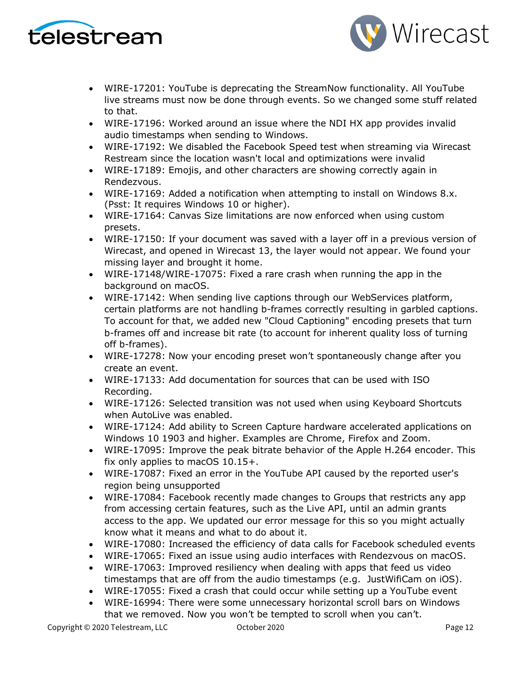



- WIRE-17201: YouTube is deprecating the StreamNow functionality. All YouTube live streams must now be done through events. So we changed some stuff related to that.
- WIRE-17196: Worked around an issue where the NDI HX app provides invalid audio timestamps when sending to Windows.
- WIRE-17192: We disabled the Facebook Speed test when streaming via Wirecast Restream since the location wasn't local and optimizations were invalid
- WIRE-17189: Emojis, and other characters are showing correctly again in Rendezvous.
- WIRE-17169: Added a notification when attempting to install on Windows 8.x. (Psst: It requires Windows 10 or higher).
- WIRE-17164: Canvas Size limitations are now enforced when using custom presets.
- WIRE-17150: If your document was saved with a layer off in a previous version of Wirecast, and opened in Wirecast 13, the layer would not appear. We found your missing layer and brought it home.
- WIRE-17148/WIRE-17075: Fixed a rare crash when running the app in the background on macOS.
- WIRE-17142: When sending live captions through our WebServices platform, certain platforms are not handling b-frames correctly resulting in garbled captions. To account for that, we added new "Cloud Captioning" encoding presets that turn b-frames off and increase bit rate (to account for inherent quality loss of turning off b-frames).
- WIRE-17278: Now your encoding preset won't spontaneously change after you create an event.
- WIRE-17133: Add documentation for sources that can be used with ISO Recording.
- WIRE-17126: Selected transition was not used when using Keyboard Shortcuts when Autol ive was enabled.
- WIRE-17124: Add ability to Screen Capture hardware accelerated applications on Windows 10 1903 and higher. Examples are Chrome, Firefox and Zoom.
- WIRE-17095: Improve the peak bitrate behavior of the Apple H.264 encoder. This fix only applies to macOS 10.15+.
- WIRE-17087: Fixed an error in the YouTube API caused by the reported user's region being unsupported
- WIRE-17084: Facebook recently made changes to Groups that restricts any app from accessing certain features, such as the Live API, until an admin grants access to the app. We updated our error message for this so you might actually know what it means and what to do about it.
- WIRE-17080: Increased the efficiency of data calls for Facebook scheduled events
- WIRE-17065: Fixed an issue using audio interfaces with Rendezvous on macOS.
- WIRE-17063: Improved resiliency when dealing with apps that feed us video timestamps that are off from the audio timestamps (e.g. JustWifiCam on iOS).
- WIRE-17055: Fixed a crash that could occur while setting up a YouTube event
- WIRE-16994: There were some unnecessary horizontal scroll bars on Windows that we removed. Now you won't be tempted to scroll when you can't.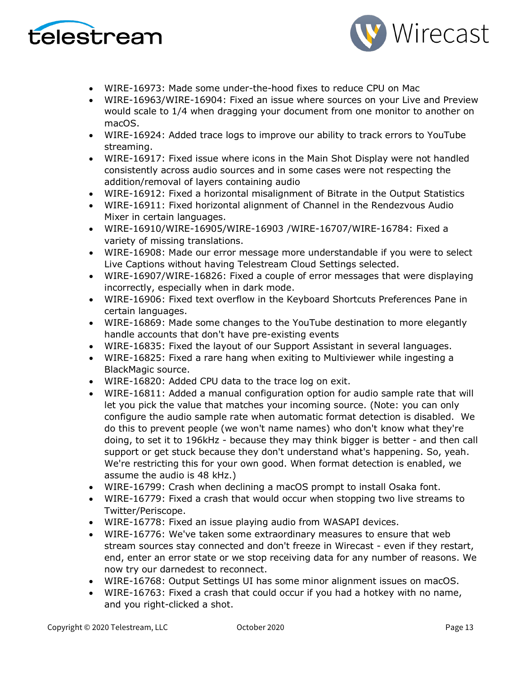



- WIRE-16973: Made some under-the-hood fixes to reduce CPU on Mac
- WIRE-16963/WIRE-16904: Fixed an issue where sources on your Live and Preview would scale to 1/4 when dragging your document from one monitor to another on macOS.
- WIRE-16924: Added trace logs to improve our ability to track errors to YouTube streaming.
- WIRE-16917: Fixed issue where icons in the Main Shot Display were not handled consistently across audio sources and in some cases were not respecting the addition/removal of layers containing audio
- WIRE-16912: Fixed a horizontal misalignment of Bitrate in the Output Statistics
- WIRE-16911: Fixed horizontal alignment of Channel in the Rendezvous Audio Mixer in certain languages.
- WIRE-16910/WIRE-16905/WIRE-16903 /WIRE-16707/WIRE-16784: Fixed a variety of missing translations.
- WIRE-16908: Made our error message more understandable if you were to select Live Captions without having Telestream Cloud Settings selected.
- WIRE-16907/WIRE-16826: Fixed a couple of error messages that were displaying incorrectly, especially when in dark mode.
- WIRE-16906: Fixed text overflow in the Keyboard Shortcuts Preferences Pane in certain languages.
- WIRE-16869: Made some changes to the YouTube destination to more elegantly handle accounts that don't have pre-existing events
- WIRE-16835: Fixed the layout of our Support Assistant in several languages.
- WIRE-16825: Fixed a rare hang when exiting to Multiviewer while ingesting a BlackMagic source.
- WIRE-16820: Added CPU data to the trace log on exit.
- WIRE-16811: Added a manual configuration option for audio sample rate that will let you pick the value that matches your incoming source. (Note: you can only configure the audio sample rate when automatic format detection is disabled. We do this to prevent people (we won't name names) who don't know what they're doing, to set it to 196kHz - because they may think bigger is better - and then call support or get stuck because they don't understand what's happening. So, yeah. We're restricting this for your own good. When format detection is enabled, we assume the audio is 48 kHz.)
- WIRE-16799: Crash when declining a macOS prompt to install Osaka font.
- WIRE-16779: Fixed a crash that would occur when stopping two live streams to Twitter/Periscope.
- WIRE-16778: Fixed an issue playing audio from WASAPI devices.
- WIRE-16776: We've taken some extraordinary measures to ensure that web stream sources stay connected and don't freeze in Wirecast - even if they restart, end, enter an error state or we stop receiving data for any number of reasons. We now try our darnedest to reconnect.
- WIRE-16768: Output Settings UI has some minor alignment issues on macOS.
- WIRE-16763: Fixed a crash that could occur if you had a hotkey with no name, and you right-clicked a shot.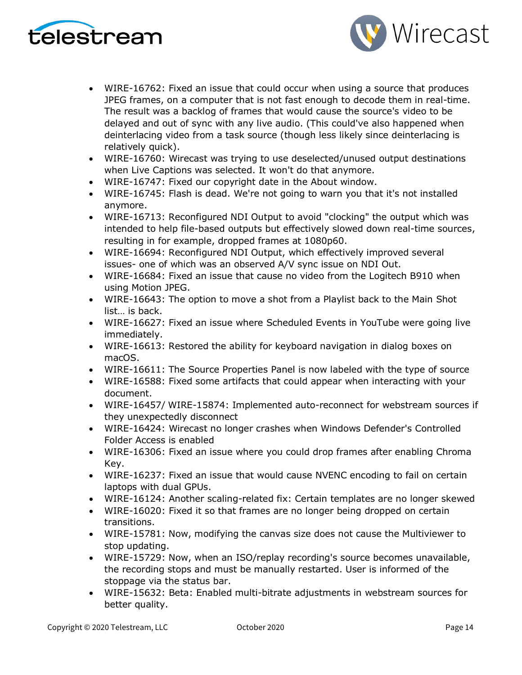



- WIRE-16762: Fixed an issue that could occur when using a source that produces JPEG frames, on a computer that is not fast enough to decode them in real-time. The result was a backlog of frames that would cause the source's video to be delayed and out of sync with any live audio. (This could've also happened when deinterlacing video from a task source (though less likely since deinterlacing is relatively quick).
- WIRE-16760: Wirecast was trying to use deselected/unused output destinations when Live Captions was selected. It won't do that anymore.
- WIRE-16747: Fixed our copyright date in the About window.
- WIRE-16745: Flash is dead. We're not going to warn you that it's not installed anymore.
- WIRE-16713: Reconfigured NDI Output to avoid "clocking" the output which was intended to help file-based outputs but effectively slowed down real-time sources, resulting in for example, dropped frames at 1080p60.
- WIRE-16694: Reconfigured NDI Output, which effectively improved several issues- one of which was an observed A/V sync issue on NDI Out.
- WIRE-16684: Fixed an issue that cause no video from the Logitech B910 when using Motion JPEG.
- WIRE-16643: The option to move a shot from a Playlist back to the Main Shot list… is back.
- WIRE-16627: Fixed an issue where Scheduled Events in YouTube were going live immediately.
- WIRE-16613: Restored the ability for keyboard navigation in dialog boxes on macOS.
- WIRE-16611: The Source Properties Panel is now labeled with the type of source
- WIRE-16588: Fixed some artifacts that could appear when interacting with your document.
- WIRE-16457/ WIRE-15874: Implemented auto-reconnect for webstream sources if they unexpectedly disconnect
- WIRE-16424: Wirecast no longer crashes when Windows Defender's Controlled Folder Access is enabled
- WIRE-16306: Fixed an issue where you could drop frames after enabling Chroma Key.
- WIRE-16237: Fixed an issue that would cause NVENC encoding to fail on certain laptops with dual GPUs.
- WIRE-16124: Another scaling-related fix: Certain templates are no longer skewed
- WIRE-16020: Fixed it so that frames are no longer being dropped on certain transitions.
- WIRE-15781: Now, modifying the canvas size does not cause the Multiviewer to stop updating.
- WIRE-15729: Now, when an ISO/replay recording's source becomes unavailable, the recording stops and must be manually restarted. User is informed of the stoppage via the status bar.
- WIRE-15632: Beta: Enabled multi-bitrate adjustments in webstream sources for better quality.